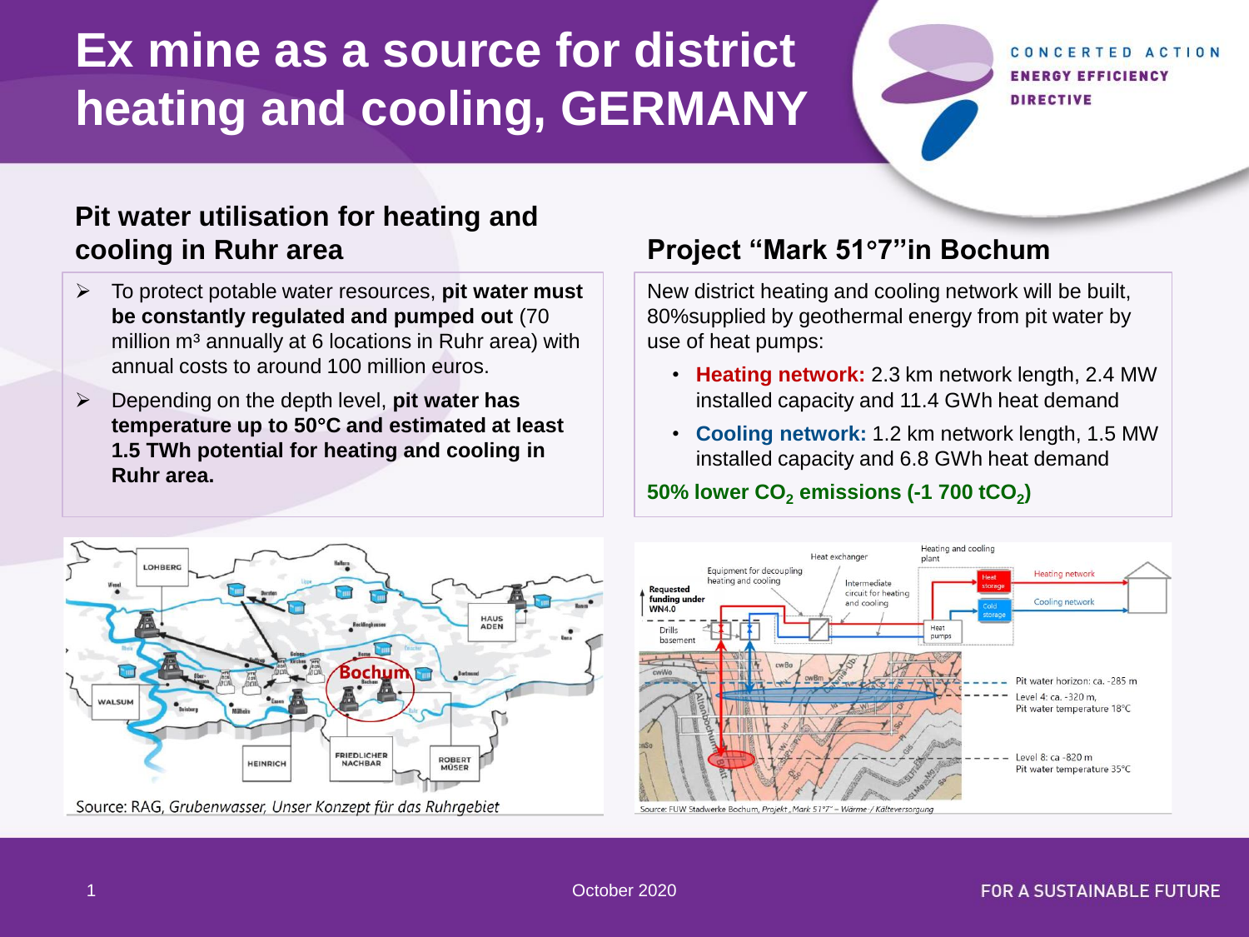# **Ex mine as a source for district heating and cooling, GERMANY**

#### CONCERTED ACTION **ENERGY EFFICIENCY DIRECTIVE**

## **Pit water utilisation for heating and cooling in Ruhr area**

- ➢ To protect potable water resources, **pit water must be constantly regulated and pumped out** (70 million m<sup>3</sup> annually at 6 locations in Ruhr area) with annual costs to around 100 million euros.
- ➢ Depending on the depth level, **pit water has temperature up to 50C and estimated at least 1.5 TWh potential for heating and cooling in Ruhr area.**

# **Project "Mark 517''in Bochum**

New district heating and cooling network will be built, 80%supplied by geothermal energy from pit water by use of heat pumps:

- **Heating network:** 2.3 km network length, 2.4 MW installed capacity and 11.4 GWh heat demand
- **Cooling network:** 1.2 km network length, 1.5 MW installed capacity and 6.8 GWh heat demand

#### **50% lower CO<sup>2</sup> emissions (-1 700 tCO<sup>2</sup> )**



Source: RAG, Grubenwasser, Unser Konzept für das Ruhrgebiet

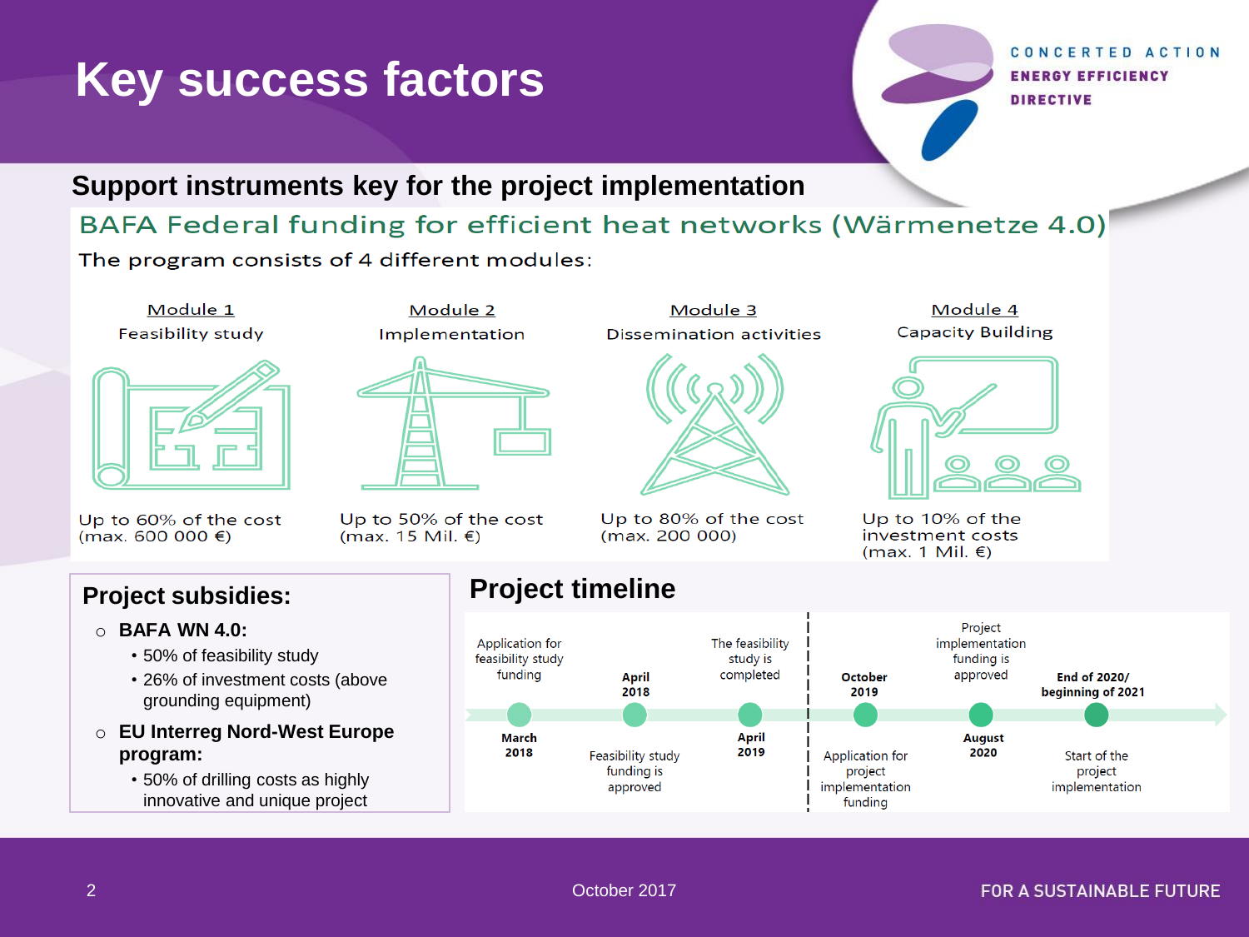# **Key success factors**

#### CONCERTED ACTION **ENERGY EFFICIENCY DIRECTIVE**

### **Support instruments key for the project implementation**

## BAFA Federal funding for efficient heat networks (Wärmenetze 4.0)

The program consists of 4 different modules: